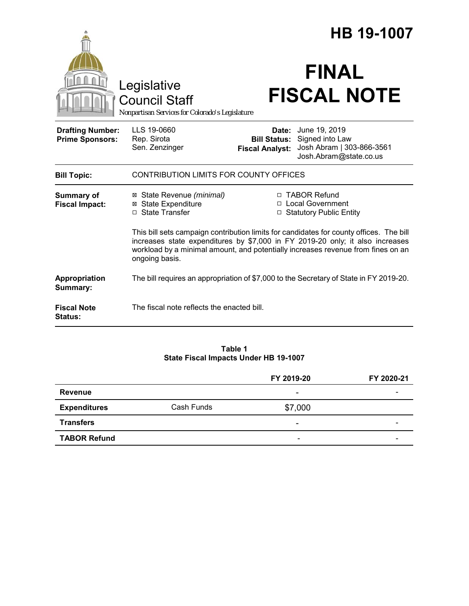|                                                   |                                                                                                                                                                                                                                                                                |                                                        | HB 19-1007                                                                              |  |
|---------------------------------------------------|--------------------------------------------------------------------------------------------------------------------------------------------------------------------------------------------------------------------------------------------------------------------------------|--------------------------------------------------------|-----------------------------------------------------------------------------------------|--|
|                                                   | Legislative<br><b>Council Staff</b><br>Nonpartisan Services for Colorado's Legislature                                                                                                                                                                                         |                                                        | <b>FINAL</b><br><b>FISCAL NOTE</b>                                                      |  |
| <b>Drafting Number:</b><br><b>Prime Sponsors:</b> | LLS 19-0660<br>Rep. Sirota<br>Sen. Zenzinger                                                                                                                                                                                                                                   | Date:<br><b>Bill Status:</b><br><b>Fiscal Analyst:</b> | June 19, 2019<br>Signed into Law<br>Josh Abram   303-866-3561<br>Josh.Abram@state.co.us |  |
| <b>Bill Topic:</b>                                | CONTRIBUTION LIMITS FOR COUNTY OFFICES                                                                                                                                                                                                                                         |                                                        |                                                                                         |  |
| Summary of<br><b>Fiscal Impact:</b>               | ⊠ State Revenue (minimal)<br><b>⊠</b> State Expenditure<br>□ State Transfer                                                                                                                                                                                                    |                                                        | □ TABOR Refund<br>□ Local Government<br>□ Statutory Public Entity                       |  |
|                                                   | This bill sets campaign contribution limits for candidates for county offices. The bill<br>increases state expenditures by \$7,000 in FY 2019-20 only; it also increases<br>workload by a minimal amount, and potentially increases revenue from fines on an<br>ongoing basis. |                                                        |                                                                                         |  |
| Appropriation<br>Summary:                         |                                                                                                                                                                                                                                                                                |                                                        | The bill requires an appropriation of \$7,000 to the Secretary of State in FY 2019-20.  |  |
| <b>Fiscal Note</b><br><b>Status:</b>              | The fiscal note reflects the enacted bill.                                                                                                                                                                                                                                     |                                                        |                                                                                         |  |

### **Table 1 State Fiscal Impacts Under HB 19-1007**

|                     |            | FY 2019-20               | FY 2020-21 |
|---------------------|------------|--------------------------|------------|
| <b>Revenue</b>      |            | ۰                        |            |
| <b>Expenditures</b> | Cash Funds | \$7,000                  |            |
| <b>Transfers</b>    |            | -                        |            |
| <b>TABOR Refund</b> |            | $\overline{\phantom{a}}$ |            |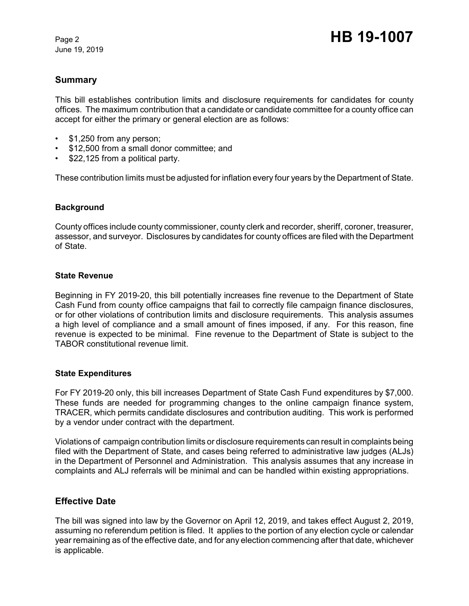June 19, 2019

# **Summary**

This bill establishes contribution limits and disclosure requirements for candidates for county offices. The maximum contribution that a candidate or candidate committee for a county office can accept for either the primary or general election are as follows:

- \$1,250 from any person;
- \$12,500 from a small donor committee; and
- \$22,125 from a political party.

These contribution limits must be adjusted for inflation every four years by the Department of State.

### **Background**

County offices include county commissioner, county clerk and recorder, sheriff, coroner, treasurer, assessor, and surveyor. Disclosures by candidates for county offices are filed with the Department of State.

#### **State Revenue**

Beginning in FY 2019-20, this bill potentially increases fine revenue to the Department of State Cash Fund from county office campaigns that fail to correctly file campaign finance disclosures, or for other violations of contribution limits and disclosure requirements. This analysis assumes a high level of compliance and a small amount of fines imposed, if any. For this reason, fine revenue is expected to be minimal. Fine revenue to the Department of State is subject to the TABOR constitutional revenue limit.

#### **State Expenditures**

For FY 2019-20 only, this bill increases Department of State Cash Fund expenditures by \$7,000. These funds are needed for programming changes to the online campaign finance system, TRACER, which permits candidate disclosures and contribution auditing. This work is performed by a vendor under contract with the department.

Violations of campaign contribution limits or disclosure requirements can result in complaints being filed with the Department of State, and cases being referred to administrative law judges (ALJs) in the Department of Personnel and Administration. This analysis assumes that any increase in complaints and ALJ referrals will be minimal and can be handled within existing appropriations.

### **Effective Date**

The bill was signed into law by the Governor on April 12, 2019, and takes effect August 2, 2019, assuming no referendum petition is filed. It applies to the portion of any election cycle or calendar year remaining as of the effective date, and for any election commencing after that date, whichever is applicable.